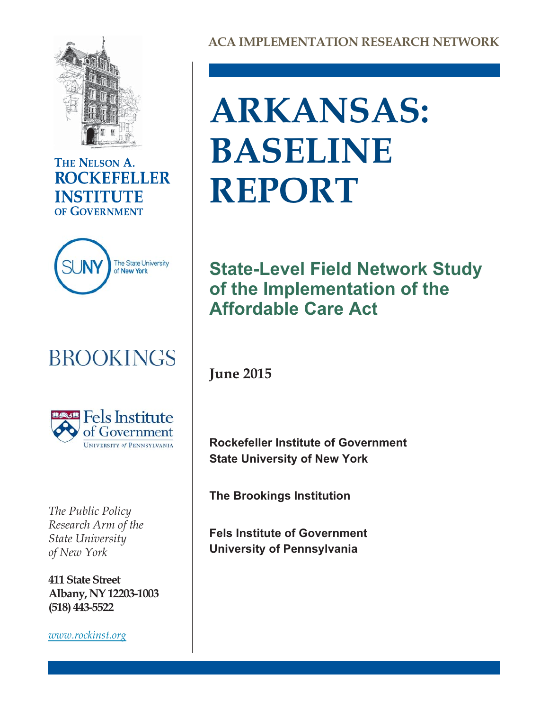

## THE NELSON A. **ROCKEFELLER INSTITUTE** OF GOVERNMENT



## **BROOKINGS**



*The Public Policy Research Arm of the State University of New York*

**411 State Street Albany, NY 12203-1003 (518) 443-5522**

*[www.rockinst.org](http://www.rockinst.org)*

# **ARKANSAS: BASELINE REPORT**

## **State-Level Field Network Study of the Implementation of the Affordable Care Act**

**June 2015**

**Rockefeller Institute of Government State University of New York**

**The Brookings Institution**

**Fels Institute of Government University of Pennsylvania**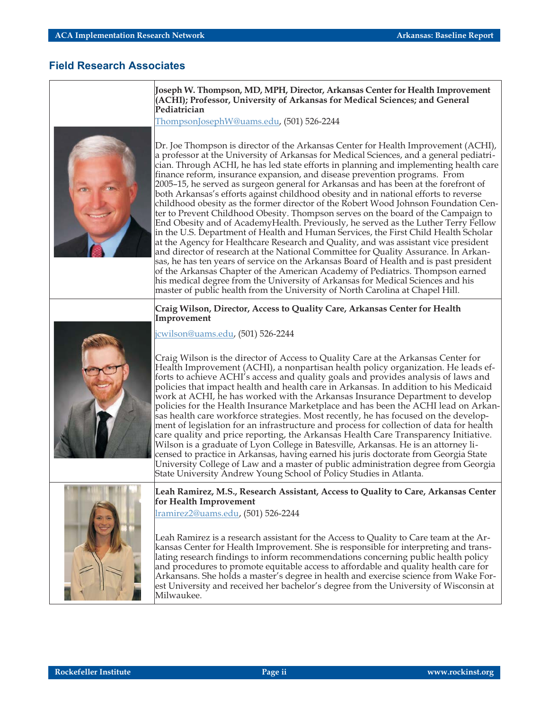#### **Field Research Associates**

**Joseph W. Thompson, MD, MPH, Director, Arkansas Center for Health Improvement (ACHI); Professor, University of Arkansas for Medical Sciences; and General Pediatrician**

[ThompsonJosephW@uams.edu](mailto:ThompsonJosephW@uams.edu), (501) 526-2244



Dr. Joe Thompson is director of the Arkansas Center for Health Improvement (ACHI), a professor at the University of Arkansas for Medical Sciences, and a general pediatrician. Through ACHI, he has led state efforts in planning and implementing health care finance reform, insurance expansion, and disease prevention programs. From 2005–15, he served as surgeon general for Arkansas and has been at the forefront of both Arkansas's efforts against childhood obesity and in national efforts to reverse childhood obesity as the former director of the Robert Wood Johnson Foundation Center to Prevent Childhood Obesity. Thompson serves on the board of the Campaign to End Obesity and of AcademyHealth. Previously, he served as the Luther Terry Fellow in the U.S. Department of Health and Human Services, the First Child Health Scholar at the Agency for Healthcare Research and Quality, and was assistant vice president and director of research at the National Committee for Quality Assurance. In Arkansas, he has ten years of service on the Arkansas Board of Health and is past president of the Arkansas Chapter of the American Academy of Pediatrics. Thompson earned his medical degree from the University of Arkansas for Medical Sciences and his master of public health from the University of North Carolina at Chapel Hill.

#### **Craig Wilson, Director, Access to Quality Care, Arkansas Center for Health Improvement**

[jcwilson@uams.edu,](mailto:jcwilson@uams.edu) (501) 526-2244



Craig Wilson is the director of Access to Quality Care at the Arkansas Center for Health Improvement (ACHI), a nonpartisan health policy organization. He leads efforts to achieve ACHI's access and quality goals and provides analysis of laws and policies that impact health and health care in Arkansas. In addition to his Medicaid work at ACHI, he has worked with the Arkansas Insurance Department to develop policies for the Health Insurance Marketplace and has been the ACHI lead on Arkansas health care workforce strategies. Most recently, he has focused on the development of legislation for an infrastructure and process for collection of data for health care quality and price reporting, the Arkansas Health Care Transparency Initiative. Wilson is a graduate of Lyon College in Batesville, Arkansas. He is an attorney licensed to practice in Arkansas, having earned his juris doctorate from Georgia State University College of Law and a master of public administration degree from Georgia State University Andrew Young School of Policy Studies in Atlanta.



**Leah Ramirez, M.S., Research Assistant, Access to Quality to Care, Arkansas Center for Health Improvement**

[lramirez2@uams.edu,](mailto:lramirez2@uams.edu) (501) 526-2244

Leah Ramirez is a research assistant for the Access to Quality to Care team at the Arkansas Center for Health Improvement. She is responsible for interpreting and translating research findings to inform recommendations concerning public health policy and procedures to promote equitable access to affordable and quality health care for Arkansans. She holds a master's degree in health and exercise science from Wake Forest University and received her bachelor's degree from the University of Wisconsin at Milwaukee.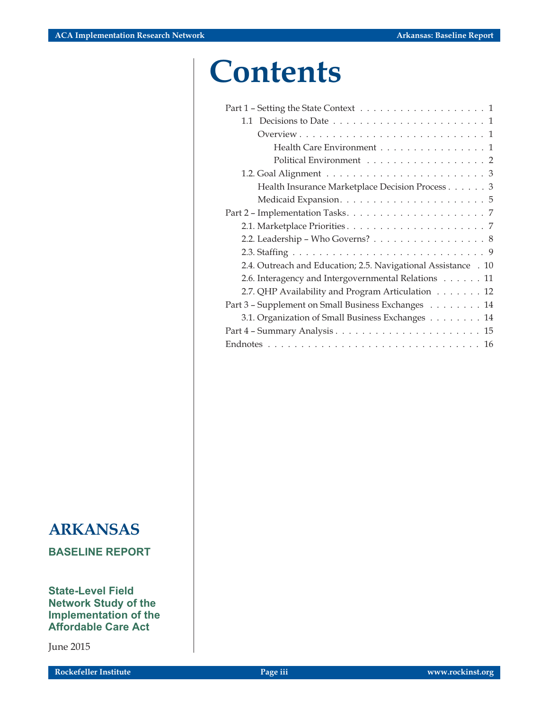## **Contents**

| 1.1 Decisions to Date $\dots \dots \dots \dots \dots \dots \dots \dots \dots \dots \dots$ |
|-------------------------------------------------------------------------------------------|
|                                                                                           |
| Health Care Environment 1                                                                 |
| Political Environment 2                                                                   |
|                                                                                           |
| Health Insurance Marketplace Decision Process 3                                           |
|                                                                                           |
|                                                                                           |
|                                                                                           |
| 2.2. Leadership – Who Governs? 8                                                          |
|                                                                                           |
| 2.4. Outreach and Education; 2.5. Navigational Assistance . 10                            |
| 2.6. Interagency and Intergovernmental Relations 11                                       |
| 2.7. QHP Availability and Program Articulation 12                                         |
| Part 3 - Supplement on Small Business Exchanges 14                                        |
| 3.1. Organization of Small Business Exchanges 14                                          |
|                                                                                           |
|                                                                                           |
|                                                                                           |

## **ARKANSAS**

**BASELINE REPORT**

**State-Level Field Network Study of the Implementation of the Affordable Care Act**

June 2015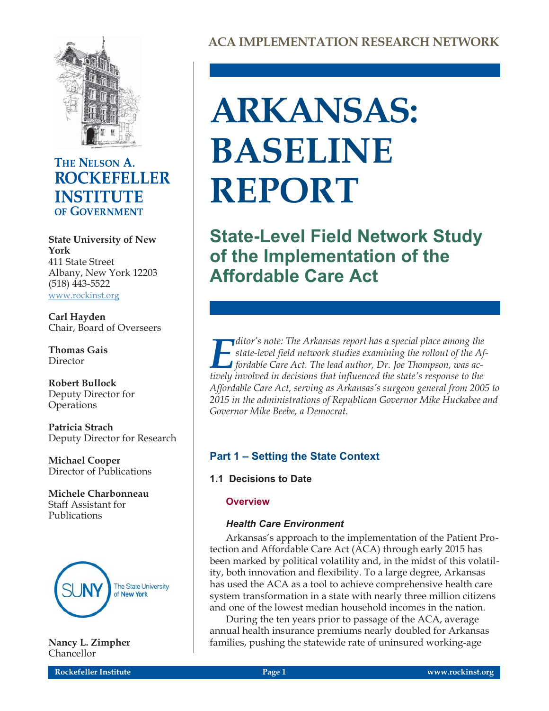

## THE NELSON A. **ROCKEFELLER INSTITUTE** OF GOVERNMENT

**State University of New York** 411 State Street Albany, New York 12203 (518) 443-5522 [www.rockinst.org](http://www.rockinst.org)

**Carl Hayden** Chair, Board of Overseers

**Thomas Gais** Director

**Robert Bullock** Deputy Director for **Operations** 

**Patricia Strach** Deputy Director for Research

**Michael Cooper** Director of Publications

**Michele Charbonneau** Staff Assistant for Publications



**Nancy L. Zimpher** Chancellor

# **ARKANSAS: BASELINE REPORT**

**State-Level Field Network Study of the Implementation of the Affordable Care Act**

*E*<br>*E* ditor's note: The Arkansas report has a special place among the<br>fordable Care Act. The lead author. Dr. Joe Thompson. was ac*state-level field network studies examining the rollout of the Affordable Care Act. The lead author, Dr. Joe Thompson, was actively involved in decisions that influenced the state's response to the Affordable Care Act, serving as Arkansas's surgeon general from 2005 to 2015 in the administrations of Republican Governor Mike Huckabee and Governor Mike Beebe, a Democrat.*

### **Part 1 – Setting the State Context**

**1.1 Decisions to Date**

#### **Overview**

#### *Health Care Environment*

Arkansas's approach to the implementation of the Patient Protection and Affordable Care Act (ACA) through early 2015 has been marked by political volatility and, in the midst of this volatility, both innovation and flexibility. To a large degree, Arkansas has used the ACA as a tool to achieve comprehensive health care system transformation in a state with nearly three million citizens and one of the lowest median household incomes in the nation.

During the ten years prior to passage of the ACA, average annual health insurance premiums nearly doubled for Arkansas families, pushing the statewide rate of uninsured working-age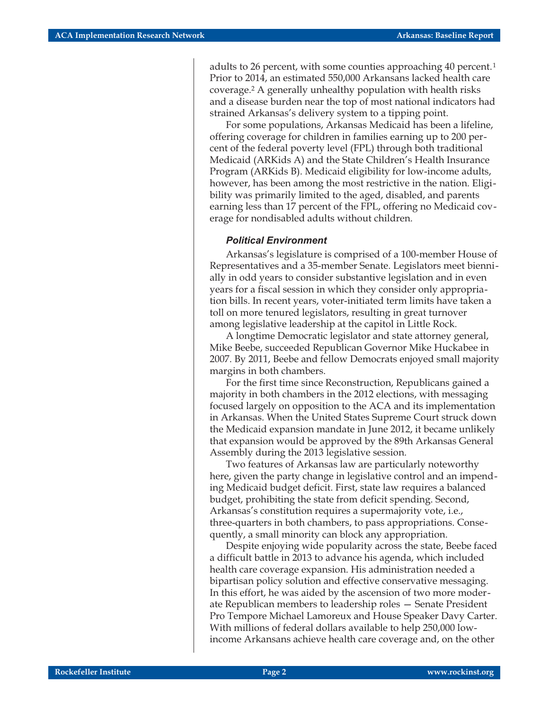adults to 26 percent, with some counties approaching 40 percent.<sup>1</sup> Prior to 2014, an estimated 550,000 Arkansans lacked health care coverage.2 A generally unhealthy population with health risks and a disease burden near the top of most national indicators had strained Arkansas's delivery system to a tipping point.

For some populations, Arkansas Medicaid has been a lifeline, offering coverage for children in families earning up to 200 percent of the federal poverty level (FPL) through both traditional Medicaid (ARKids A) and the State Children's Health Insurance Program (ARKids B). Medicaid eligibility for low-income adults, however, has been among the most restrictive in the nation. Eligibility was primarily limited to the aged, disabled, and parents earning less than 17 percent of the FPL, offering no Medicaid coverage for nondisabled adults without children.

#### *Political Environment*

Arkansas's legislature is comprised of a 100-member House of Representatives and a 35-member Senate. Legislators meet biennially in odd years to consider substantive legislation and in even years for a fiscal session in which they consider only appropriation bills. In recent years, voter-initiated term limits have taken a toll on more tenured legislators, resulting in great turnover among legislative leadership at the capitol in Little Rock.

A longtime Democratic legislator and state attorney general, Mike Beebe, succeeded Republican Governor Mike Huckabee in 2007. By 2011, Beebe and fellow Democrats enjoyed small majority margins in both chambers.

For the first time since Reconstruction, Republicans gained a majority in both chambers in the 2012 elections, with messaging focused largely on opposition to the ACA and its implementation in Arkansas. When the United States Supreme Court struck down the Medicaid expansion mandate in June 2012, it became unlikely that expansion would be approved by the 89th Arkansas General Assembly during the 2013 legislative session.

Two features of Arkansas law are particularly noteworthy here, given the party change in legislative control and an impending Medicaid budget deficit. First, state law requires a balanced budget, prohibiting the state from deficit spending. Second, Arkansas's constitution requires a supermajority vote, i.e., three-quarters in both chambers, to pass appropriations. Consequently, a small minority can block any appropriation.

Despite enjoying wide popularity across the state, Beebe faced a difficult battle in 2013 to advance his agenda, which included health care coverage expansion. His administration needed a bipartisan policy solution and effective conservative messaging. In this effort, he was aided by the ascension of two more moderate Republican members to leadership roles — Senate President Pro Tempore Michael Lamoreux and House Speaker Davy Carter. With millions of federal dollars available to help 250,000 lowincome Arkansans achieve health care coverage and, on the other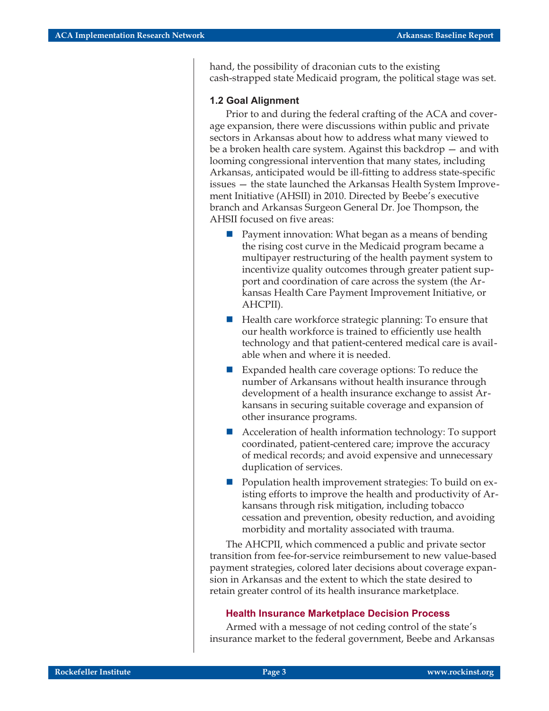hand, the possibility of draconian cuts to the existing cash-strapped state Medicaid program, the political stage was set.

#### **1.2 Goal Alignment**

Prior to and during the federal crafting of the ACA and coverage expansion, there were discussions within public and private sectors in Arkansas about how to address what many viewed to be a broken health care system. Against this backdrop — and with looming congressional intervention that many states, including Arkansas, anticipated would be ill-fitting to address state-specific issues — the state launched the Arkansas Health System Improvement Initiative (AHSII) in 2010. Directed by Beebe's executive branch and Arkansas Surgeon General Dr. Joe Thompson, the AHSII focused on five areas:

- - Payment innovation: What began as a means of bending the rising cost curve in the Medicaid program became a multipayer restructuring of the health payment system to incentivize quality outcomes through greater patient support and coordination of care across the system (the Arkansas Health Care Payment Improvement Initiative, or AHCPII).
- - Health care workforce strategic planning: To ensure that our health workforce is trained to efficiently use health technology and that patient-centered medical care is available when and where it is needed.
- Expanded health care coverage options: To reduce the number of Arkansans without health insurance through development of a health insurance exchange to assist Arkansans in securing suitable coverage and expansion of other insurance programs.
- - Acceleration of health information technology: To support coordinated, patient-centered care; improve the accuracy of medical records; and avoid expensive and unnecessary duplication of services.
- **Population health improvement strategies: To build on ex**isting efforts to improve the health and productivity of Arkansans through risk mitigation, including tobacco cessation and prevention, obesity reduction, and avoiding morbidity and mortality associated with trauma.

The AHCPII, which commenced a public and private sector transition from fee-for-service reimbursement to new value-based payment strategies, colored later decisions about coverage expansion in Arkansas and the extent to which the state desired to retain greater control of its health insurance marketplace.

#### **Health Insurance Marketplace Decision Process**

Armed with a message of not ceding control of the state's insurance market to the federal government, Beebe and Arkansas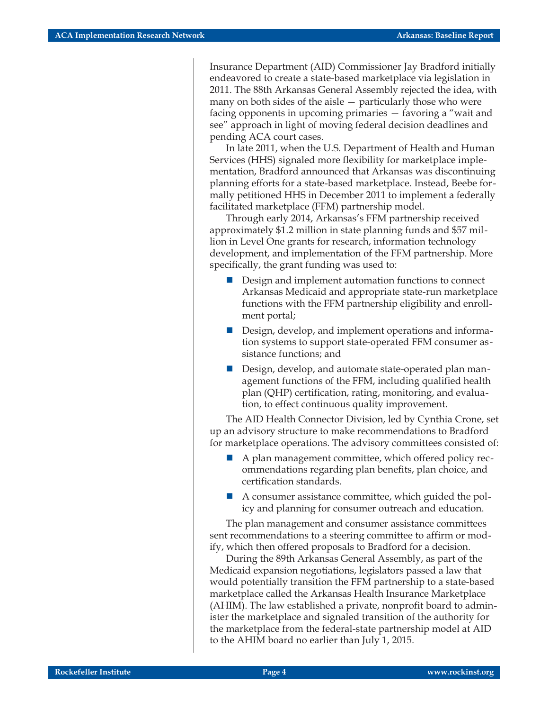Insurance Department (AID) Commissioner Jay Bradford initially endeavored to create a state-based marketplace via legislation in 2011. The 88th Arkansas General Assembly rejected the idea, with many on both sides of the aisle — particularly those who were facing opponents in upcoming primaries — favoring a "wait and see" approach in light of moving federal decision deadlines and pending ACA court cases.

In late 2011, when the U.S. Department of Health and Human Services (HHS) signaled more flexibility for marketplace implementation, Bradford announced that Arkansas was discontinuing planning efforts for a state-based marketplace. Instead, Beebe formally petitioned HHS in December 2011 to implement a federally facilitated marketplace (FFM) partnership model.

Through early 2014, Arkansas's FFM partnership received approximately \$1.2 million in state planning funds and \$57 million in Level One grants for research, information technology development, and implementation of the FFM partnership. More specifically, the grant funding was used to:

- **Design and implement automation functions to connect** Arkansas Medicaid and appropriate state-run marketplace functions with the FFM partnership eligibility and enrollment portal;
- **Design, develop, and implement operations and informa**tion systems to support state-operated FFM consumer assistance functions; and
- Design, develop, and automate state-operated plan management functions of the FFM, including qualified health plan (QHP) certification, rating, monitoring, and evaluation, to effect continuous quality improvement.

The AID Health Connector Division, led by Cynthia Crone, set up an advisory structure to make recommendations to Bradford for marketplace operations. The advisory committees consisted of:

- A plan management committee, which offered policy recommendations regarding plan benefits, plan choice, and certification standards.
- A consumer assistance committee, which guided the policy and planning for consumer outreach and education.

The plan management and consumer assistance committees sent recommendations to a steering committee to affirm or modify, which then offered proposals to Bradford for a decision.

During the 89th Arkansas General Assembly, as part of the Medicaid expansion negotiations, legislators passed a law that would potentially transition the FFM partnership to a state-based marketplace called the Arkansas Health Insurance Marketplace (AHIM). The law established a private, nonprofit board to administer the marketplace and signaled transition of the authority for the marketplace from the federal-state partnership model at AID to the AHIM board no earlier than July 1, 2015.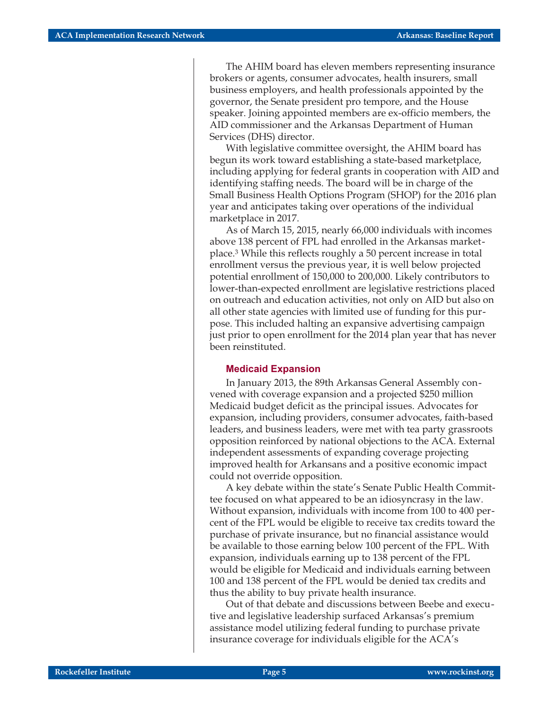The AHIM board has eleven members representing insurance brokers or agents, consumer advocates, health insurers, small business employers, and health professionals appointed by the governor, the Senate president pro tempore, and the House speaker. Joining appointed members are ex-officio members, the AID commissioner and the Arkansas Department of Human Services (DHS) director.

With legislative committee oversight, the AHIM board has begun its work toward establishing a state-based marketplace, including applying for federal grants in cooperation with AID and identifying staffing needs. The board will be in charge of the Small Business Health Options Program (SHOP) for the 2016 plan year and anticipates taking over operations of the individual marketplace in 2017.

As of March 15, 2015, nearly 66,000 individuals with incomes above 138 percent of FPL had enrolled in the Arkansas marketplace.3 While this reflects roughly a 50 percent increase in total enrollment versus the previous year, it is well below projected potential enrollment of 150,000 to 200,000. Likely contributors to lower-than-expected enrollment are legislative restrictions placed on outreach and education activities, not only on AID but also on all other state agencies with limited use of funding for this purpose. This included halting an expansive advertising campaign just prior to open enrollment for the 2014 plan year that has never been reinstituted.

#### **Medicaid Expansion**

In January 2013, the 89th Arkansas General Assembly convened with coverage expansion and a projected \$250 million Medicaid budget deficit as the principal issues. Advocates for expansion, including providers, consumer advocates, faith-based leaders, and business leaders, were met with tea party grassroots opposition reinforced by national objections to the ACA. External independent assessments of expanding coverage projecting improved health for Arkansans and a positive economic impact could not override opposition.

A key debate within the state's Senate Public Health Committee focused on what appeared to be an idiosyncrasy in the law. Without expansion, individuals with income from 100 to 400 percent of the FPL would be eligible to receive tax credits toward the purchase of private insurance, but no financial assistance would be available to those earning below 100 percent of the FPL. With expansion, individuals earning up to 138 percent of the FPL would be eligible for Medicaid and individuals earning between 100 and 138 percent of the FPL would be denied tax credits and thus the ability to buy private health insurance.

Out of that debate and discussions between Beebe and executive and legislative leadership surfaced Arkansas's premium assistance model utilizing federal funding to purchase private insurance coverage for individuals eligible for the ACA's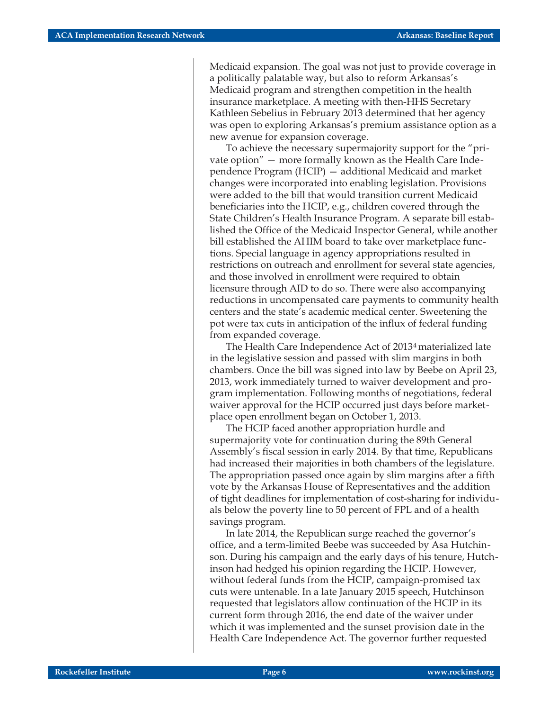Medicaid expansion. The goal was not just to provide coverage in a politically palatable way, but also to reform Arkansas's Medicaid program and strengthen competition in the health insurance marketplace. A meeting with then-HHS Secretary Kathleen Sebelius in February 2013 determined that her agency was open to exploring Arkansas's premium assistance option as a new avenue for expansion coverage.

To achieve the necessary supermajority support for the "private option" — more formally known as the Health Care Independence Program (HCIP) — additional Medicaid and market changes were incorporated into enabling legislation. Provisions were added to the bill that would transition current Medicaid beneficiaries into the HCIP, e.g., children covered through the State Children's Health Insurance Program. A separate bill established the Office of the Medicaid Inspector General, while another bill established the AHIM board to take over marketplace functions. Special language in agency appropriations resulted in restrictions on outreach and enrollment for several state agencies, and those involved in enrollment were required to obtain licensure through AID to do so. There were also accompanying reductions in uncompensated care payments to community health centers and the state's academic medical center. Sweetening the pot were tax cuts in anticipation of the influx of federal funding from expanded coverage.

The Health Care Independence Act of 20134 materialized late in the legislative session and passed with slim margins in both chambers. Once the bill was signed into law by Beebe on April 23, 2013, work immediately turned to waiver development and program implementation. Following months of negotiations, federal waiver approval for the HCIP occurred just days before marketplace open enrollment began on October 1, 2013.

The HCIP faced another appropriation hurdle and supermajority vote for continuation during the 89th General Assembly's fiscal session in early 2014. By that time, Republicans had increased their majorities in both chambers of the legislature. The appropriation passed once again by slim margins after a fifth vote by the Arkansas House of Representatives and the addition of tight deadlines for implementation of cost-sharing for individuals below the poverty line to 50 percent of FPL and of a health savings program.

In late 2014, the Republican surge reached the governor's office, and a term-limited Beebe was succeeded by Asa Hutchinson. During his campaign and the early days of his tenure, Hutchinson had hedged his opinion regarding the HCIP. However, without federal funds from the HCIP, campaign-promised tax cuts were untenable. In a late January 2015 speech, Hutchinson requested that legislators allow continuation of the HCIP in its current form through 2016, the end date of the waiver under which it was implemented and the sunset provision date in the Health Care Independence Act. The governor further requested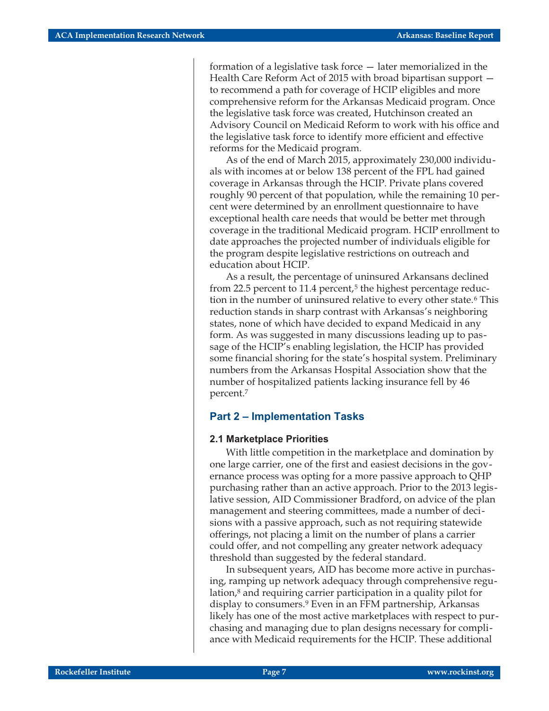formation of a legislative task force — later memorialized in the Health Care Reform Act of 2015 with broad bipartisan support to recommend a path for coverage of HCIP eligibles and more comprehensive reform for the Arkansas Medicaid program. Once the legislative task force was created, Hutchinson created an Advisory Council on Medicaid Reform to work with his office and the legislative task force to identify more efficient and effective reforms for the Medicaid program.

As of the end of March 2015, approximately 230,000 individuals with incomes at or below 138 percent of the FPL had gained coverage in Arkansas through the HCIP. Private plans covered roughly 90 percent of that population, while the remaining 10 percent were determined by an enrollment questionnaire to have exceptional health care needs that would be better met through coverage in the traditional Medicaid program. HCIP enrollment to date approaches the projected number of individuals eligible for the program despite legislative restrictions on outreach and education about HCIP.

As a result, the percentage of uninsured Arkansans declined from 22.5 percent to 11.4 percent, $5$  the highest percentage reduction in the number of uninsured relative to every other state.<sup>6</sup> This reduction stands in sharp contrast with Arkansas's neighboring states, none of which have decided to expand Medicaid in any form. As was suggested in many discussions leading up to passage of the HCIP's enabling legislation, the HCIP has provided some financial shoring for the state's hospital system. Preliminary numbers from the Arkansas Hospital Association show that the number of hospitalized patients lacking insurance fell by 46 percent.7

#### **Part 2 – Implementation Tasks**

#### **2.1 Marketplace Priorities**

With little competition in the marketplace and domination by one large carrier, one of the first and easiest decisions in the governance process was opting for a more passive approach to QHP purchasing rather than an active approach. Prior to the 2013 legislative session, AID Commissioner Bradford, on advice of the plan management and steering committees, made a number of decisions with a passive approach, such as not requiring statewide offerings, not placing a limit on the number of plans a carrier could offer, and not compelling any greater network adequacy threshold than suggested by the federal standard.

In subsequent years, AID has become more active in purchasing, ramping up network adequacy through comprehensive regulation,<sup>8</sup> and requiring carrier participation in a quality pilot for display to consumers.9 Even in an FFM partnership, Arkansas likely has one of the most active marketplaces with respect to purchasing and managing due to plan designs necessary for compliance with Medicaid requirements for the HCIP. These additional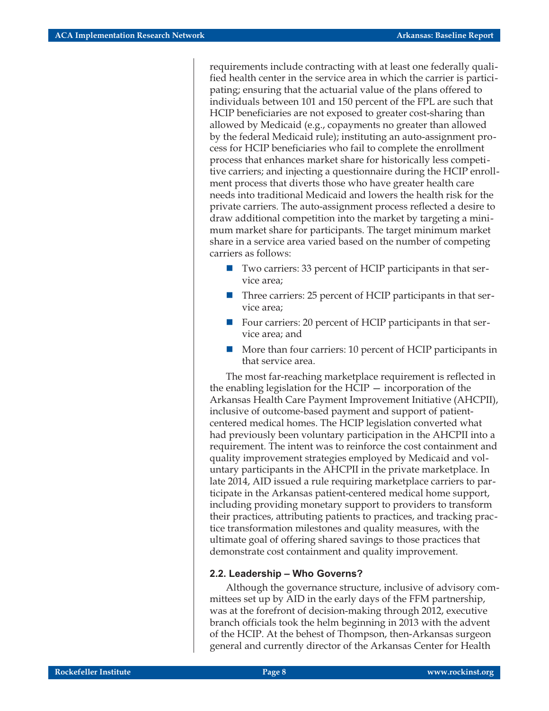requirements include contracting with at least one federally qualified health center in the service area in which the carrier is participating; ensuring that the actuarial value of the plans offered to individuals between 101 and 150 percent of the FPL are such that HCIP beneficiaries are not exposed to greater cost-sharing than allowed by Medicaid (e.g., copayments no greater than allowed by the federal Medicaid rule); instituting an auto-assignment process for HCIP beneficiaries who fail to complete the enrollment process that enhances market share for historically less competitive carriers; and injecting a questionnaire during the HCIP enrollment process that diverts those who have greater health care needs into traditional Medicaid and lowers the health risk for the private carriers. The auto-assignment process reflected a desire to draw additional competition into the market by targeting a minimum market share for participants. The target minimum market share in a service area varied based on the number of competing carriers as follows:

- Two carriers: 33 percent of HCIP participants in that service area;
- - Three carriers: 25 percent of HCIP participants in that service area;
- Four carriers: 20 percent of HCIP participants in that service area; and
- - More than four carriers: 10 percent of HCIP participants in that service area.

The most far-reaching marketplace requirement is reflected in the enabling legislation for the HCIP — incorporation of the Arkansas Health Care Payment Improvement Initiative (AHCPII), inclusive of outcome-based payment and support of patientcentered medical homes. The HCIP legislation converted what had previously been voluntary participation in the AHCPII into a requirement. The intent was to reinforce the cost containment and quality improvement strategies employed by Medicaid and voluntary participants in the AHCPII in the private marketplace. In late 2014, AID issued a rule requiring marketplace carriers to participate in the Arkansas patient-centered medical home support, including providing monetary support to providers to transform their practices, attributing patients to practices, and tracking practice transformation milestones and quality measures, with the ultimate goal of offering shared savings to those practices that demonstrate cost containment and quality improvement.

#### **2.2. Leadership – Who Governs?**

Although the governance structure, inclusive of advisory committees set up by AID in the early days of the FFM partnership, was at the forefront of decision-making through 2012, executive branch officials took the helm beginning in 2013 with the advent of the HCIP. At the behest of Thompson, then-Arkansas surgeon general and currently director of the Arkansas Center for Health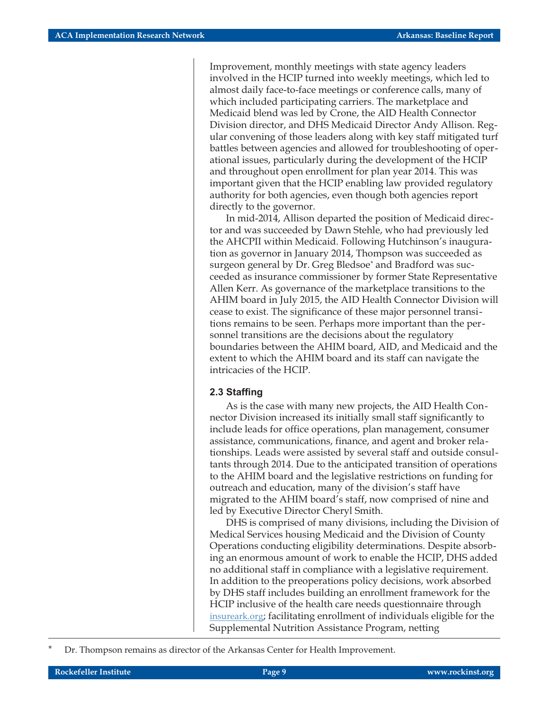Improvement, monthly meetings with state agency leaders involved in the HCIP turned into weekly meetings, which led to almost daily face-to-face meetings or conference calls, many of which included participating carriers. The marketplace and Medicaid blend was led by Crone, the AID Health Connector Division director, and DHS Medicaid Director Andy Allison. Regular convening of those leaders along with key staff mitigated turf battles between agencies and allowed for troubleshooting of operational issues, particularly during the development of the HCIP and throughout open enrollment for plan year 2014. This was important given that the HCIP enabling law provided regulatory authority for both agencies, even though both agencies report directly to the governor.

In mid-2014, Allison departed the position of Medicaid director and was succeeded by Dawn Stehle, who had previously led the AHCPII within Medicaid. Following Hutchinson's inauguration as governor in January 2014, Thompson was succeeded as surgeon general by Dr. Greg Bledsoe\* and Bradford was succeeded as insurance commissioner by former State Representative Allen Kerr. As governance of the marketplace transitions to the AHIM board in July 2015, the AID Health Connector Division will cease to exist. The significance of these major personnel transitions remains to be seen. Perhaps more important than the personnel transitions are the decisions about the regulatory boundaries between the AHIM board, AID, and Medicaid and the extent to which the AHIM board and its staff can navigate the intricacies of the HCIP.

#### **2.3 Staffing**

As is the case with many new projects, the AID Health Connector Division increased its initially small staff significantly to include leads for office operations, plan management, consumer assistance, communications, finance, and agent and broker relationships. Leads were assisted by several staff and outside consultants through 2014. Due to the anticipated transition of operations to the AHIM board and the legislative restrictions on funding for outreach and education, many of the division's staff have migrated to the AHIM board's staff, now comprised of nine and led by Executive Director Cheryl Smith.

DHS is comprised of many divisions, including the Division of Medical Services housing Medicaid and the Division of County Operations conducting eligibility determinations. Despite absorbing an enormous amount of work to enable the HCIP, DHS added no additional staff in compliance with a legislative requirement. In addition to the preoperations policy decisions, work absorbed by DHS staff includes building an enrollment framework for the HCIP inclusive of the health care needs questionnaire through [insureark.org;](https://www.insureark.org/hcp/Default.aspx?alias=www.insureark.org/hcp/member) facilitating enrollment of individuals eligible for the Supplemental Nutrition Assistance Program, netting

Dr. Thompson remains as director of the Arkansas Center for Health Improvement.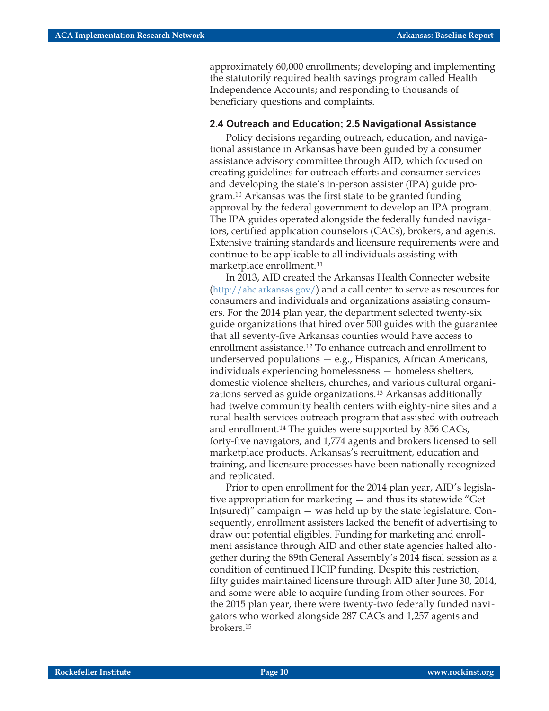approximately 60,000 enrollments; developing and implementing the statutorily required health savings program called Health Independence Accounts; and responding to thousands of beneficiary questions and complaints.

#### **2.4 Outreach and Education; 2.5 Navigational Assistance**

Policy decisions regarding outreach, education, and navigational assistance in Arkansas have been guided by a consumer assistance advisory committee through AID, which focused on creating guidelines for outreach efforts and consumer services and developing the state's in-person assister (IPA) guide program.10 Arkansas was the first state to be granted funding approval by the federal government to develop an IPA program. The IPA guides operated alongside the federally funded navigators, certified application counselors (CACs), brokers, and agents. Extensive training standards and licensure requirements were and continue to be applicable to all individuals assisting with marketplace enrollment.11

In 2013, AID created the Arkansas Health Connecter website (<http://ahc.arkansas.gov/>) and a call center to serve as resources for consumers and individuals and organizations assisting consumers. For the 2014 plan year, the department selected twenty-six guide organizations that hired over 500 guides with the guarantee that all seventy-five Arkansas counties would have access to enrollment assistance.12 To enhance outreach and enrollment to underserved populations — e.g., Hispanics, African Americans, individuals experiencing homelessness — homeless shelters, domestic violence shelters, churches, and various cultural organizations served as guide organizations.13 Arkansas additionally had twelve community health centers with eighty-nine sites and a rural health services outreach program that assisted with outreach and enrollment.14 The guides were supported by 356 CACs, forty-five navigators, and 1,774 agents and brokers licensed to sell marketplace products. Arkansas's recruitment, education and training, and licensure processes have been nationally recognized and replicated.

Prior to open enrollment for the 2014 plan year, AID's legislative appropriation for marketing — and thus its statewide "Get In(sured)" campaign — was held up by the state legislature. Consequently, enrollment assisters lacked the benefit of advertising to draw out potential eligibles. Funding for marketing and enrollment assistance through AID and other state agencies halted altogether during the 89th General Assembly's 2014 fiscal session as a condition of continued HCIP funding. Despite this restriction, fifty guides maintained licensure through AID after June 30, 2014, and some were able to acquire funding from other sources. For the 2015 plan year, there were twenty-two federally funded navigators who worked alongside 287 CACs and 1,257 agents and brokers.15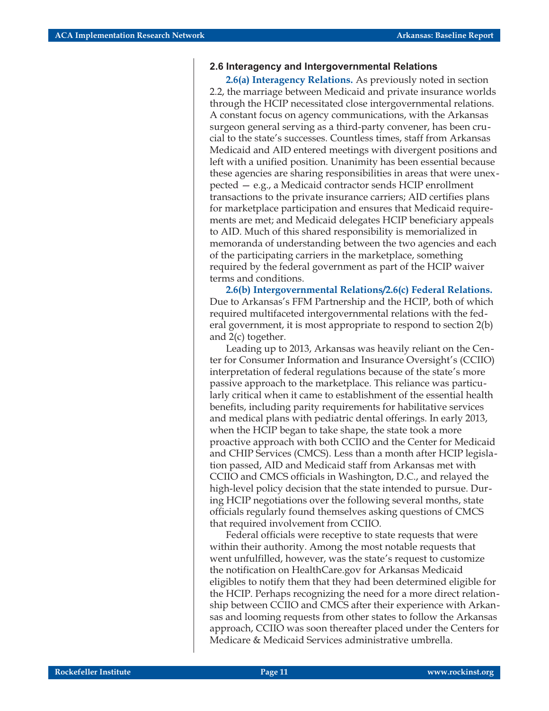#### **2.6 Interagency and Intergovernmental Relations**

**2.6(a) Interagency Relations.** As previously noted in section 2.2, the marriage between Medicaid and private insurance worlds through the HCIP necessitated close intergovernmental relations. A constant focus on agency communications, with the Arkansas surgeon general serving as a third-party convener, has been crucial to the state's successes. Countless times, staff from Arkansas Medicaid and AID entered meetings with divergent positions and left with a unified position. Unanimity has been essential because these agencies are sharing responsibilities in areas that were unexpected — e.g., a Medicaid contractor sends HCIP enrollment transactions to the private insurance carriers; AID certifies plans for marketplace participation and ensures that Medicaid requirements are met; and Medicaid delegates HCIP beneficiary appeals to AID. Much of this shared responsibility is memorialized in memoranda of understanding between the two agencies and each of the participating carriers in the marketplace, something required by the federal government as part of the HCIP waiver terms and conditions.

**2.6(b) Intergovernmental Relations/2.6(c) Federal Relations.** Due to Arkansas's FFM Partnership and the HCIP, both of which required multifaceted intergovernmental relations with the federal government, it is most appropriate to respond to section 2(b) and 2(c) together.

Leading up to 2013, Arkansas was heavily reliant on the Center for Consumer Information and Insurance Oversight's (CCIIO) interpretation of federal regulations because of the state's more passive approach to the marketplace. This reliance was particularly critical when it came to establishment of the essential health benefits, including parity requirements for habilitative services and medical plans with pediatric dental offerings. In early 2013, when the HCIP began to take shape, the state took a more proactive approach with both CCIIO and the Center for Medicaid and CHIP Services (CMCS). Less than a month after HCIP legislation passed, AID and Medicaid staff from Arkansas met with CCIIO and CMCS officials in Washington, D.C., and relayed the high-level policy decision that the state intended to pursue. During HCIP negotiations over the following several months, state officials regularly found themselves asking questions of CMCS that required involvement from CCIIO.

Federal officials were receptive to state requests that were within their authority. Among the most notable requests that went unfulfilled, however, was the state's request to customize the notification on HealthCare.gov for Arkansas Medicaid eligibles to notify them that they had been determined eligible for the HCIP. Perhaps recognizing the need for a more direct relationship between CCIIO and CMCS after their experience with Arkansas and looming requests from other states to follow the Arkansas approach, CCIIO was soon thereafter placed under the Centers for Medicare & Medicaid Services administrative umbrella.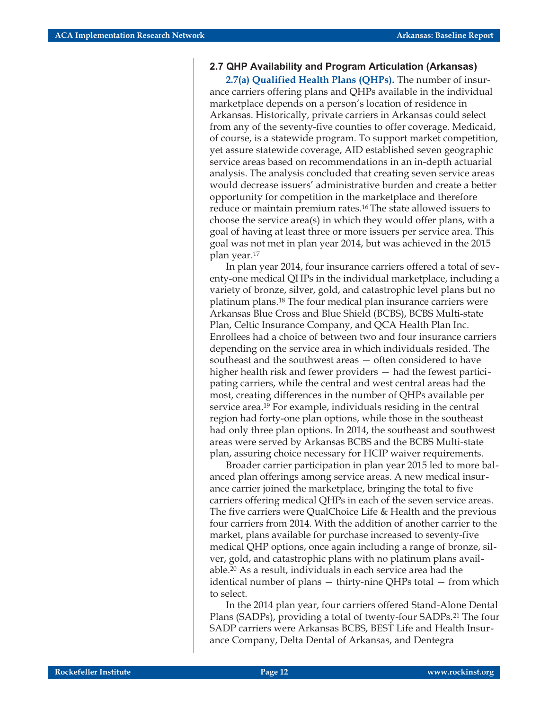#### **2.7 QHP Availability and Program Articulation (Arkansas)**

**2.7(a) Qualified Health Plans (QHPs).** The number of insurance carriers offering plans and QHPs available in the individual marketplace depends on a person's location of residence in Arkansas. Historically, private carriers in Arkansas could select from any of the seventy-five counties to offer coverage. Medicaid, of course, is a statewide program. To support market competition, yet assure statewide coverage, AID established seven geographic service areas based on recommendations in an in-depth actuarial analysis. The analysis concluded that creating seven service areas would decrease issuers' administrative burden and create a better opportunity for competition in the marketplace and therefore reduce or maintain premium rates.16 The state allowed issuers to choose the service area(s) in which they would offer plans, with a goal of having at least three or more issuers per service area. This goal was not met in plan year 2014, but was achieved in the 2015 plan year.17

In plan year 2014, four insurance carriers offered a total of seventy-one medical QHPs in the individual marketplace, including a variety of bronze, silver, gold, and catastrophic level plans but no platinum plans.18 The four medical plan insurance carriers were Arkansas Blue Cross and Blue Shield (BCBS), BCBS Multi-state Plan, Celtic Insurance Company, and QCA Health Plan Inc. Enrollees had a choice of between two and four insurance carriers depending on the service area in which individuals resided. The southeast and the southwest areas — often considered to have higher health risk and fewer providers – had the fewest participating carriers, while the central and west central areas had the most, creating differences in the number of QHPs available per service area.19 For example, individuals residing in the central region had forty-one plan options, while those in the southeast had only three plan options. In 2014, the southeast and southwest areas were served by Arkansas BCBS and the BCBS Multi-state plan, assuring choice necessary for HCIP waiver requirements.

Broader carrier participation in plan year 2015 led to more balanced plan offerings among service areas. A new medical insurance carrier joined the marketplace, bringing the total to five carriers offering medical QHPs in each of the seven service areas. The five carriers were QualChoice Life & Health and the previous four carriers from 2014. With the addition of another carrier to the market, plans available for purchase increased to seventy-five medical QHP options, once again including a range of bronze, silver, gold, and catastrophic plans with no platinum plans available.20 As a result, individuals in each service area had the identical number of plans — thirty-nine QHPs total — from which to select.

In the 2014 plan year, four carriers offered Stand-Alone Dental Plans (SADPs), providing a total of twenty-four SADPs.<sup>21</sup> The four SADP carriers were Arkansas BCBS, BEST Life and Health Insurance Company, Delta Dental of Arkansas, and Dentegra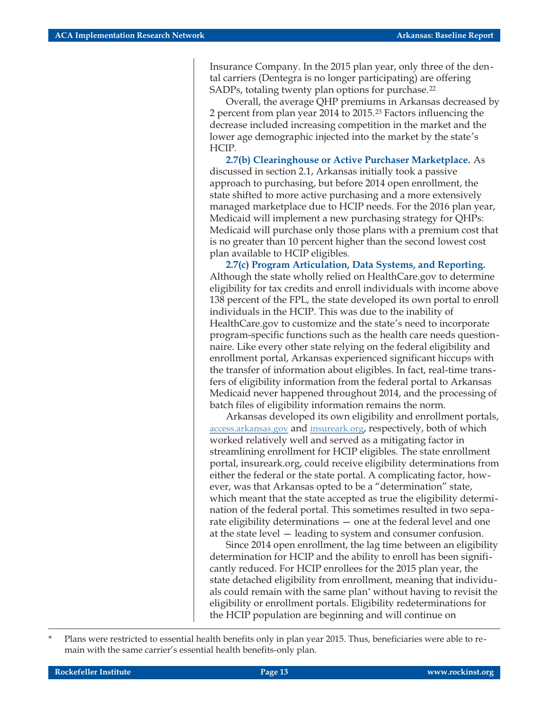Insurance Company. In the 2015 plan year, only three of the dental carriers (Dentegra is no longer participating) are offering SADPs, totaling twenty plan options for purchase.<sup>22</sup>

Overall, the average QHP premiums in Arkansas decreased by 2 percent from plan year 2014 to 2015.23 Factors influencing the decrease included increasing competition in the market and the lower age demographic injected into the market by the state's HCIP.

**2.7(b) Clearinghouse or Active Purchaser Marketplace.** As discussed in section 2.1, Arkansas initially took a passive approach to purchasing, but before 2014 open enrollment, the state shifted to more active purchasing and a more extensively managed marketplace due to HCIP needs. For the 2016 plan year, Medicaid will implement a new purchasing strategy for QHPs: Medicaid will purchase only those plans with a premium cost that is no greater than 10 percent higher than the second lowest cost plan available to HCIP eligibles.

**2.7(c) Program Articulation, Data Systems, and Reporting.** Although the state wholly relied on HealthCare.gov to determine eligibility for tax credits and enroll individuals with income above 138 percent of the FPL, the state developed its own portal to enroll individuals in the HCIP. This was due to the inability of HealthCare.gov to customize and the state's need to incorporate program-specific functions such as the health care needs questionnaire. Like every other state relying on the federal eligibility and enrollment portal, Arkansas experienced significant hiccups with the transfer of information about eligibles. In fact, real-time transfers of eligibility information from the federal portal to Arkansas Medicaid never happened throughout 2014, and the processing of batch files of eligibility information remains the norm.

Arkansas developed its own eligibility and enrollment portals, [access.arkansas.gov](https://access.arkansas.gov/) and [insureark.org,](https://www.insureark.org/hcp/Default.aspx?alias=www.insureark.org/hcp/member) respectively, both of which worked relatively well and served as a mitigating factor in streamlining enrollment for HCIP eligibles. The state enrollment portal, insureark.org, could receive eligibility determinations from either the federal or the state portal. A complicating factor, however, was that Arkansas opted to be a "determination" state, which meant that the state accepted as true the eligibility determination of the federal portal. This sometimes resulted in two separate eligibility determinations — one at the federal level and one at the state level — leading to system and consumer confusion.

Since 2014 open enrollment, the lag time between an eligibility determination for HCIP and the ability to enroll has been significantly reduced. For HCIP enrollees for the 2015 plan year, the state detached eligibility from enrollment, meaning that individuals could remain with the same plan\* without having to revisit the eligibility or enrollment portals. Eligibility redeterminations for the HCIP population are beginning and will continue on

Plans were restricted to essential health benefits only in plan year 2015. Thus, beneficiaries were able to remain with the same carrier's essential health benefits-only plan.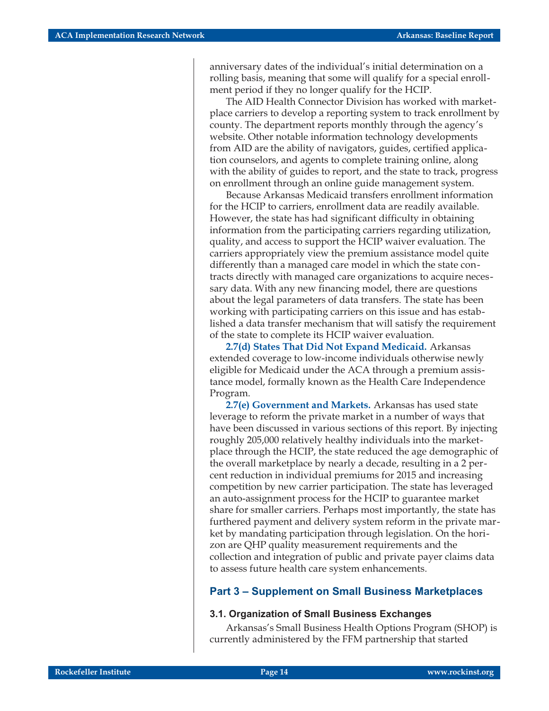anniversary dates of the individual's initial determination on a rolling basis, meaning that some will qualify for a special enrollment period if they no longer qualify for the HCIP.

The AID Health Connector Division has worked with marketplace carriers to develop a reporting system to track enrollment by county. The department reports monthly through the agency's website. Other notable information technology developments from AID are the ability of navigators, guides, certified application counselors, and agents to complete training online, along with the ability of guides to report, and the state to track, progress on enrollment through an online guide management system.

Because Arkansas Medicaid transfers enrollment information for the HCIP to carriers, enrollment data are readily available. However, the state has had significant difficulty in obtaining information from the participating carriers regarding utilization, quality, and access to support the HCIP waiver evaluation. The carriers appropriately view the premium assistance model quite differently than a managed care model in which the state contracts directly with managed care organizations to acquire necessary data. With any new financing model, there are questions about the legal parameters of data transfers. The state has been working with participating carriers on this issue and has established a data transfer mechanism that will satisfy the requirement of the state to complete its HCIP waiver evaluation.

**2.7(d) States That Did Not Expand Medicaid.** Arkansas extended coverage to low-income individuals otherwise newly eligible for Medicaid under the ACA through a premium assistance model, formally known as the Health Care Independence Program.

**2.7(e) Government and Markets.** Arkansas has used state leverage to reform the private market in a number of ways that have been discussed in various sections of this report. By injecting roughly 205,000 relatively healthy individuals into the marketplace through the HCIP, the state reduced the age demographic of the overall marketplace by nearly a decade, resulting in a 2 percent reduction in individual premiums for 2015 and increasing competition by new carrier participation. The state has leveraged an auto-assignment process for the HCIP to guarantee market share for smaller carriers. Perhaps most importantly, the state has furthered payment and delivery system reform in the private market by mandating participation through legislation. On the horizon are QHP quality measurement requirements and the collection and integration of public and private payer claims data to assess future health care system enhancements.

#### **Part 3 – Supplement on Small Business Marketplaces**

#### **3.1. Organization of Small Business Exchanges**

Arkansas's Small Business Health Options Program (SHOP) is currently administered by the FFM partnership that started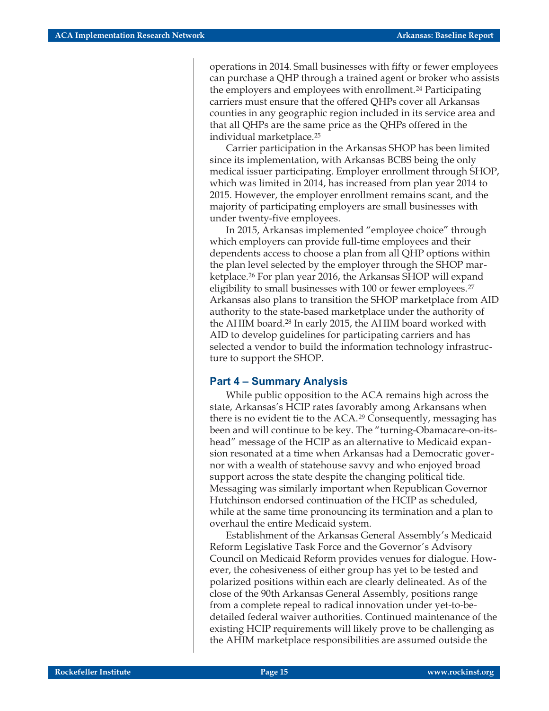operations in 2014. Small businesses with fifty or fewer employees can purchase a QHP through a trained agent or broker who assists the employers and employees with enrollment.<sup>24</sup> Participating carriers must ensure that the offered QHPs cover all Arkansas counties in any geographic region included in its service area and that all QHPs are the same price as the QHPs offered in the individual marketplace.25

Carrier participation in the Arkansas SHOP has been limited since its implementation, with Arkansas BCBS being the only medical issuer participating. Employer enrollment through SHOP, which was limited in 2014, has increased from plan year 2014 to 2015. However, the employer enrollment remains scant, and the majority of participating employers are small businesses with under twenty-five employees.

In 2015, Arkansas implemented "employee choice" through which employers can provide full-time employees and their dependents access to choose a plan from all QHP options within the plan level selected by the employer through the SHOP marketplace.26 For plan year 2016, the Arkansas SHOP will expand eligibility to small businesses with 100 or fewer employees.<sup>27</sup> Arkansas also plans to transition the SHOP marketplace from AID authority to the state-based marketplace under the authority of the AHIM board.28 In early 2015, the AHIM board worked with AID to develop guidelines for participating carriers and has selected a vendor to build the information technology infrastructure to support the SHOP.

#### **Part 4 – Summary Analysis**

While public opposition to the ACA remains high across the state, Arkansas's HCIP rates favorably among Arkansans when there is no evident tie to the ACA.29 Consequently, messaging has been and will continue to be key. The "turning-Obamacare-on-itshead" message of the HCIP as an alternative to Medicaid expansion resonated at a time when Arkansas had a Democratic governor with a wealth of statehouse savvy and who enjoyed broad support across the state despite the changing political tide. Messaging was similarly important when Republican Governor Hutchinson endorsed continuation of the HCIP as scheduled, while at the same time pronouncing its termination and a plan to overhaul the entire Medicaid system.

Establishment of the Arkansas General Assembly's Medicaid Reform Legislative Task Force and the Governor's Advisory Council on Medicaid Reform provides venues for dialogue. However, the cohesiveness of either group has yet to be tested and polarized positions within each are clearly delineated. As of the close of the 90th Arkansas General Assembly, positions range from a complete repeal to radical innovation under yet-to-bedetailed federal waiver authorities. Continued maintenance of the existing HCIP requirements will likely prove to be challenging as the AHIM marketplace responsibilities are assumed outside the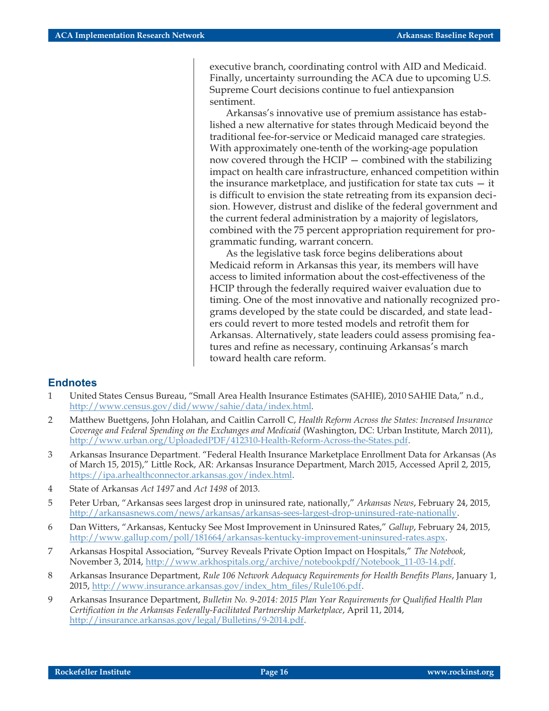executive branch, coordinating control with AID and Medicaid. Finally, uncertainty surrounding the ACA due to upcoming U.S. Supreme Court decisions continue to fuel antiexpansion sentiment.

Arkansas's innovative use of premium assistance has established a new alternative for states through Medicaid beyond the traditional fee-for-service or Medicaid managed care strategies. With approximately one-tenth of the working-age population now covered through the HCIP — combined with the stabilizing impact on health care infrastructure, enhanced competition within the insurance marketplace, and justification for state tax cuts  $-$  it is difficult to envision the state retreating from its expansion decision. However, distrust and dislike of the federal government and the current federal administration by a majority of legislators, combined with the 75 percent appropriation requirement for programmatic funding, warrant concern.

As the legislative task force begins deliberations about Medicaid reform in Arkansas this year, its members will have access to limited information about the cost-effectiveness of the HCIP through the federally required waiver evaluation due to timing. One of the most innovative and nationally recognized programs developed by the state could be discarded, and state leaders could revert to more tested models and retrofit them for Arkansas. Alternatively, state leaders could assess promising features and refine as necessary, continuing Arkansas's march toward health care reform.

#### **Endnotes**

- 1 United States Census Bureau, "Small Area Health Insurance Estimates (SAHIE), 2010 SAHIE Data," n.d., <http://www.census.gov/did/www/sahie/data/index.html>.
- 2 Matthew Buettgens, John Holahan, and Caitlin Carroll C, *Health Reform Across the States: Increased Insurance Coverage and Federal Spending on the Exchanges and Medicaid* (Washington, DC: Urban Institute, March 2011), <http://www.urban.org/UploadedPDF/412310-Health-Reform-Across-the-States.pdf>.
- 3 Arkansas Insurance Department. "Federal Health Insurance Marketplace Enrollment Data for Arkansas (As of March 15, 2015)," Little Rock, AR: Arkansas Insurance Department, March 2015, Accessed April 2, 2015, [https://ipa.arhealthconnector.arkansas.gov/index.html.](https://ipa.arhealthconnector.arkansas.gov/index.html)
- 4 State of Arkansas *Act 1497* and *Act 1498* of 2013.
- 5 Peter Urban, "Arkansas sees largest drop in uninsured rate, nationally," *Arkansas News*, February 24, 2015, [http://arkansasnews.com/news/arkansas/arkansas-sees-largest-drop-uninsured-rate-nationally.](http://arkansasnews.com/news/arkansas/arkansas-sees-largest-drop-uninsured-rate-nationally)
- 6 Dan Witters, "Arkansas, Kentucky See Most Improvement in Uninsured Rates," *Gallup*, February 24, 2015, [http://www.gallup.com/poll/181664/arkansas-kentucky-improvement-uninsured-rates.aspx.](http://www.gallup.com/poll/181664/arkansas-kentucky-improvement-uninsured-rates.aspx)
- 7 Arkansas Hospital Association, "Survey Reveals Private Option Impact on Hospitals," *The Notebook*, November 3, 2014, [http://www.arkhospitals.org/archive/notebookpdf/Notebook\\_11-03-14.pdf.](http://www.arkhospitals.org/archive/notebookpdf/Notebook_11-03-14.pdf)
- 8 Arkansas Insurance Department, *Rule 106 Network Adequacy Requirements for Health Benefits Plans*, January 1, 2015, [http://www.insurance.arkansas.gov/index\\_htm\\_files/Rule106.pdf](http://www.insurance.arkansas.gov/index_htm_files/Rule106.pdf).
- 9 Arkansas Insurance Department, *Bulletin No. 9-2014: 2015 Plan Year Requirements for Qualified Health Plan Certification in the Arkansas Federally-Facilitated Partnership Marketplace*, April 11, 2014, <http://insurance.arkansas.gov/legal/Bulletins/9-2014.pdf>.